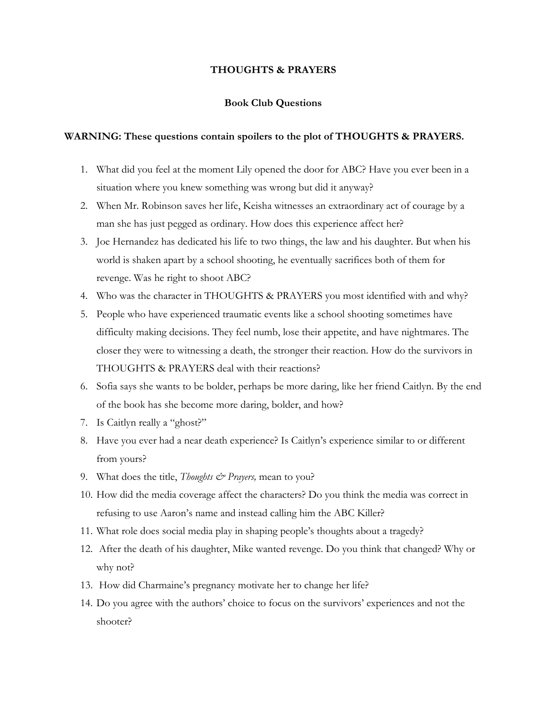## **THOUGHTS & PRAYERS**

## **Book Club Questions**

## **WARNING: These questions contain spoilers to the plot of THOUGHTS & PRAYERS.**

- 1. What did you feel at the moment Lily opened the door for ABC? Have you ever been in a situation where you knew something was wrong but did it anyway?
- 2. When Mr. Robinson saves her life, Keisha witnesses an extraordinary act of courage by a man she has just pegged as ordinary. How does this experience affect her?
- 3. Joe Hernandez has dedicated his life to two things, the law and his daughter. But when his world is shaken apart by a school shooting, he eventually sacrifices both of them for revenge. Was he right to shoot ABC?
- 4. Who was the character in THOUGHTS & PRAYERS you most identified with and why?
- 5. People who have experienced traumatic events like a school shooting sometimes have difficulty making decisions. They feel numb, lose their appetite, and have nightmares. The closer they were to witnessing a death, the stronger their reaction. How do the survivors in THOUGHTS & PRAYERS deal with their reactions?
- 6. Sofia says she wants to be bolder, perhaps be more daring, like her friend Caitlyn. By the end of the book has she become more daring, bolder, and how?
- 7. Is Caitlyn really a "ghost?"
- 8. Have you ever had a near death experience? Is Caitlyn's experience similar to or different from yours?
- 9. What does the title, *Thoughts & Prayers,* mean to you?
- 10. How did the media coverage affect the characters? Do you think the media was correct in refusing to use Aaron's name and instead calling him the ABC Killer?
- 11. What role does social media play in shaping people's thoughts about a tragedy?
- 12. After the death of his daughter, Mike wanted revenge. Do you think that changed? Why or why not?
- 13. How did Charmaine's pregnancy motivate her to change her life?
- 14. Do you agree with the authors' choice to focus on the survivors' experiences and not the shooter?